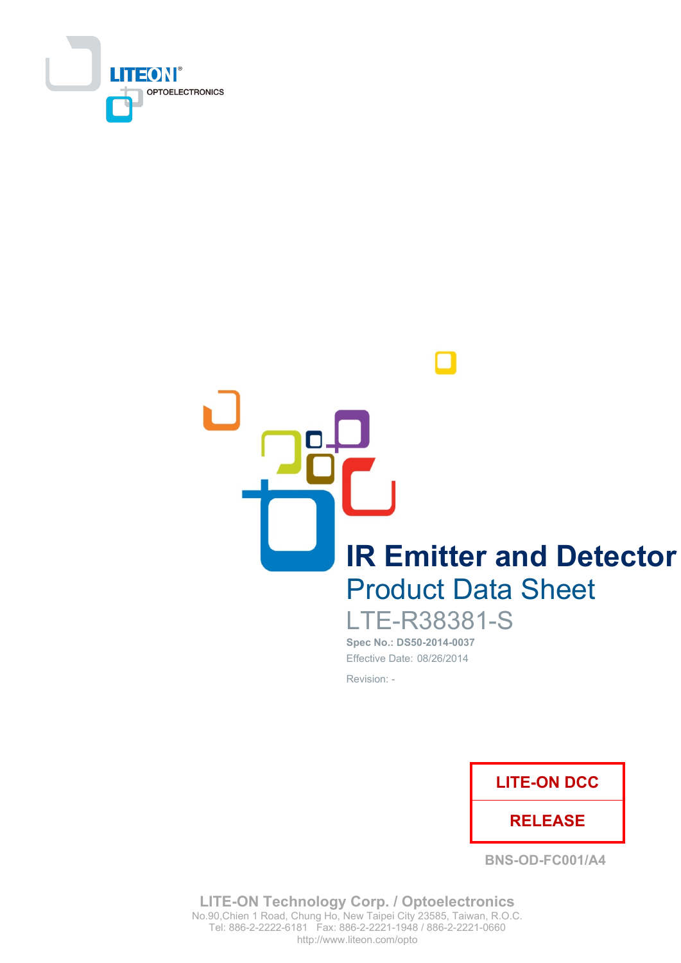

**IR Emitter and Detector Product Data Sheet** 

**LTE-R38381-S** Spec No.: DS50-2014-0037 Effective Date: 08/26/2014

Revision: -



**BNS-OD-FC001/A4** 

**LITE-ON Technology Corp. / Optoelectronics** No.90, Chien 1 Road, Chung Ho, New Taipei City 23585, Taiwan, R.O.C. Tel: 886-2-2222-6181 Fax: 886-2-2221-1948 / 886-2-2221-0660 http://www.liteon.com/opto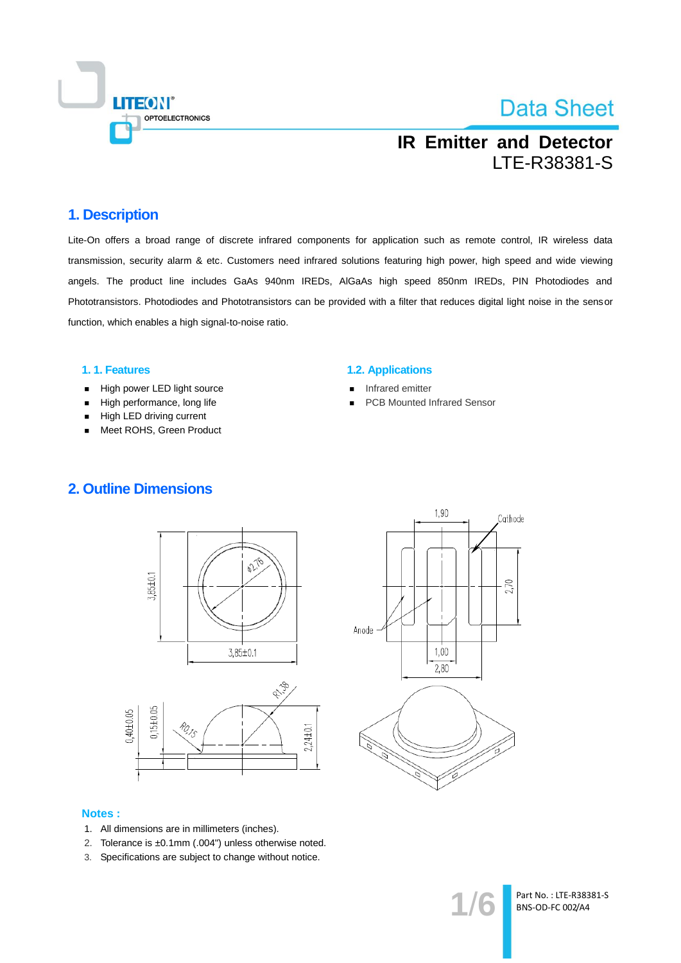

## **IR Emitter and Detector** LTE-R38381-S

### 1. Description

Lite-On offers a broad range of discrete infrared components for application such as remote control, IR wireless data transmission, security alarm & etc. Customers need infrared solutions featuring high power, high speed and wide viewing angels. The product line includes GaAs 940nm IREDs, AIGaAs high speed 850nm IREDs, PIN Photodiodes and Phototransistors. Photodiodes and Phototransistors can be provided with a filter that reduces digital light noise in the sensor function, which enables a high signal-to-noise ratio.

#### 1.1. Features

- High power LED light source  $\blacksquare$
- High performance, long life  $\blacksquare$
- High LED driving current
- Meet ROHS, Green Product

#### **1.2. Applications**

- Infrared emitter
- **PCB Mounted Infrared Sensor**







#### **Notes:**

- 1. All dimensions are in millimeters (inches).
- 2. Tolerance is ±0.1mm (.004") unless otherwise noted.
- 3. Specifications are subject to change without notice.

Part No.: LTE-R38381-S BNS-OD-FC 002/A4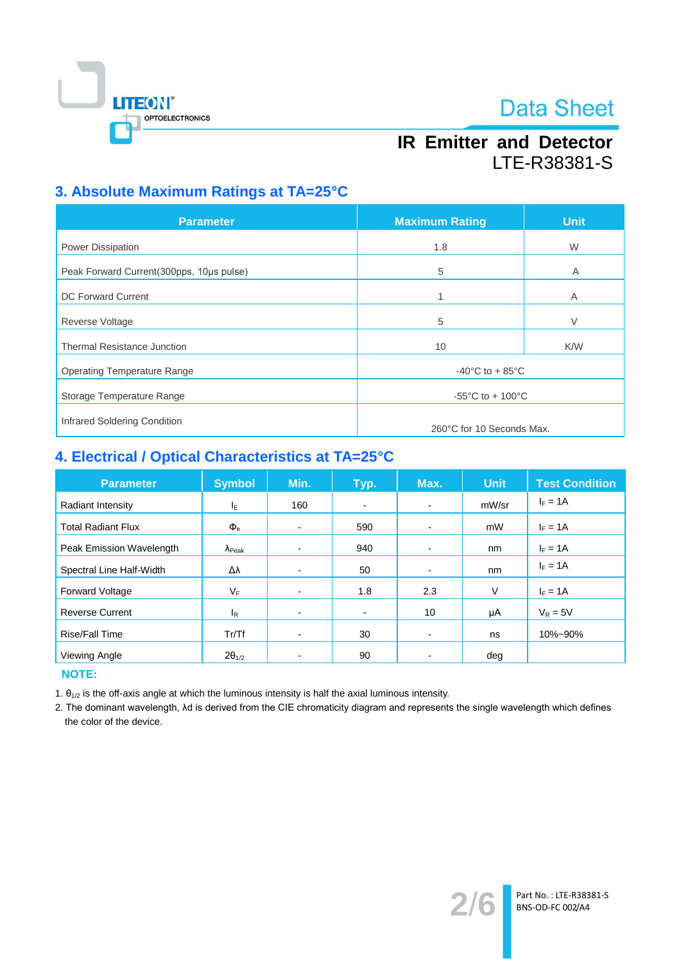

## **IR Emitter and Detector** LTE-R38381-S

### 3. Absolute Maximum Ratings at TA=25°C

| <b>Parameter</b>                         | <b>Maximum Rating</b>                  | <b>Unit</b> |  |
|------------------------------------------|----------------------------------------|-------------|--|
| <b>Power Dissipation</b>                 | 1.8                                    | W           |  |
| Peak Forward Current(300pps, 10us pulse) | 5                                      | A           |  |
| <b>DC Forward Current</b>                | 1                                      | A           |  |
| <b>Reverse Voltage</b>                   | 5                                      | V           |  |
| <b>Thermal Resistance Junction</b>       | 10                                     | <b>K/W</b>  |  |
| <b>Operating Temperature Range</b>       | $-40^{\circ}$ C to + 85 $^{\circ}$ C   |             |  |
| Storage Temperature Range                | -55 $^{\circ}$ C to + 100 $^{\circ}$ C |             |  |
| Infrared Soldering Condition             |                                        |             |  |
|                                          | 260°C for 10 Seconds Max.              |             |  |

### 4. Electrical / Optical Characteristics at TA=25°C

| <b>Parameter</b>          | <b>Symbol</b>           | Min. | Typ.                     | Max.                     | <b>Unit</b> | <b>Test Condition</b> |
|---------------------------|-------------------------|------|--------------------------|--------------------------|-------------|-----------------------|
| Radiant Intensity         | ΙE                      | 160  | $\overline{\phantom{a}}$ | $\blacksquare$           | mW/sr       | $I_F = 1A$            |
| <b>Total Radiant Flux</b> | $\Phi_{\rm e}$          | ٠    | 590                      | $\blacksquare$           | mW          | $I_F = 1A$            |
| Peak Emission Wavelength  | $\Lambda_{\text{Peak}}$ |      | 940                      | $\overline{\phantom{0}}$ | nm          | $I_F = 1A$            |
| Spectral Line Half-Width  | Δλ                      | -    | 50                       |                          | nm          | $I_F = 1A$            |
| Forward Voltage           | VF                      | -    | 1.8                      | 2.3                      | V           | $I_F = 1A$            |
| <b>Reverse Current</b>    | l <sub>R</sub>          | -    | $\blacksquare$           | 10                       | μA          | $V_R = 5V$            |
| Rise/Fall Time            | Tr/Tf                   | -    | 30                       | $\overline{\phantom{0}}$ | ns          | 10%~90%               |
| Viewing Angle             | $2\theta_{1/2}$         |      | 90                       |                          | deg         |                       |

**NOTE:** 

1.  $\theta_{1/2}$  is the off-axis angle at which the luminous intensity is half the axial luminous intensity.

2. The dominant wavelength, Ad is derived from the CIE chromaticity diagram and represents the single wavelength which defines the color of the device.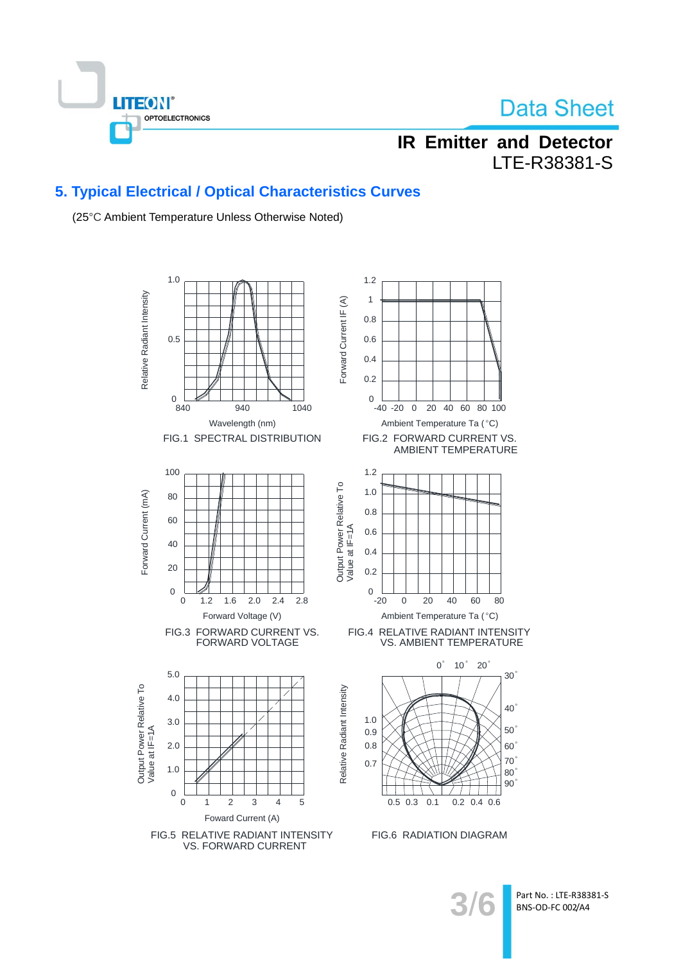

## **IR Emitter and Detector** LTE-R38381-S

### 5. Typical Electrical / Optical Characteristics Curves

(25°C Ambient Temperature Unless Otherwise Noted)



Part No.: LTE-R38381-S BNS-OD-FC 002/A4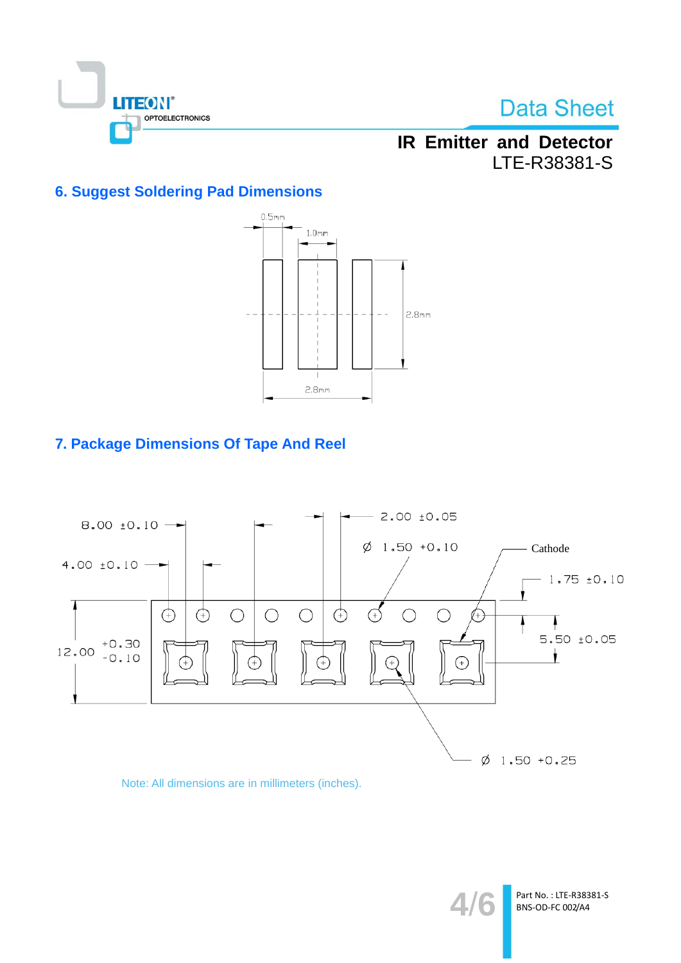

## **IR Emitter and Detector** LTE-R38381-S

### **6. Suggest Soldering Pad Dimensions**



### 7. Package Dimensions Of Tape And Reel



### Note: All dimensions are in millimeters (inches).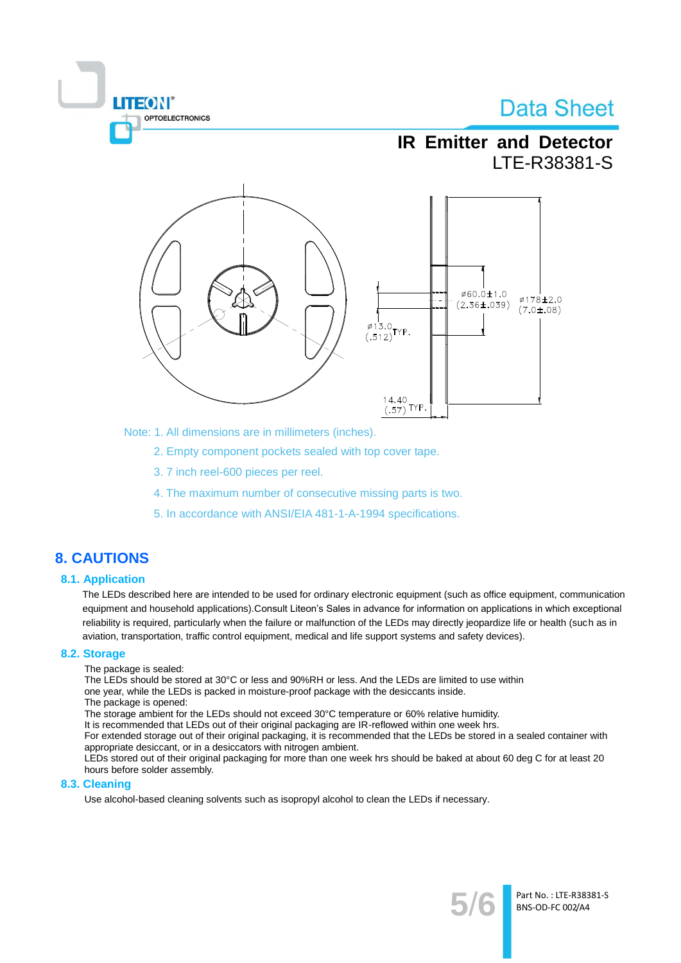**TEON** OPTOELECTRONICS

**IR Emitter and Detector** LTE-R38381-S



Note: 1. All dimensions are in millimeters (inches).

2. Empty component pockets sealed with top cover tape.

- 3.7 inch reel-600 pieces per reel.
- 4. The maximum number of consecutive missing parts is two.
- 5. In accordance with ANSI/EIA 481-1-A-1994 specifications.

### **8. CAUTIONS**

### **8.1. Application**

The LEDs described here are intended to be used for ordinary electronic equipment (such as office equipment, communication equipment and household applications). Consult Liteon's Sales in advance for information on applications in which exceptional reliability is required, particularly when the failure or malfunction of the LEDs may directly jeopardize life or health (such as in aviation, transportation, traffic control equipment, medical and life support systems and safety devices).

#### 8.2. Storage

The package is sealed:

The LEDs should be stored at 30°C or less and 90%RH or less. And the LEDs are limited to use within one year, while the LEDs is packed in moisture-proof package with the desiccants inside.

The package is opened:

The storage ambient for the LEDs should not exceed 30°C temperature or 60% relative humidity.

It is recommended that LEDs out of their original packaging are IR-reflowed within one week hrs.

For extended storage out of their original packaging, it is recommended that the LEDs be stored in a sealed container with appropriate desiccant, or in a desiccators with nitrogen ambient.

LEDs stored out of their original packaging for more than one week hrs should be baked at about 60 deg C for at least 20 hours before solder assembly.

#### 8.3. Cleaning

Use alcohol-based cleaning solvents such as isopropyl alcohol to clean the LEDs if necessary.